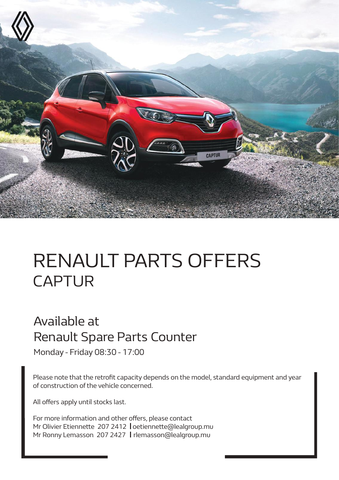

# RENAULT PARTS OFFERS CAPTUR

## Available at Renault Spare Parts Counter

Monday - Friday 08:30 - 17:00

Please note that the retrofit capacity depends on the model, standard equipment and year of construction of the vehicle concerned.

All offers apply until stocks last.

For more information and other offers, please contact Mr Olivier Etiennette 207 2412 | oetiennette@lealgroup.mu Mr Ronny Lemasson 207 2427 | rlemasson@lealgroup.mu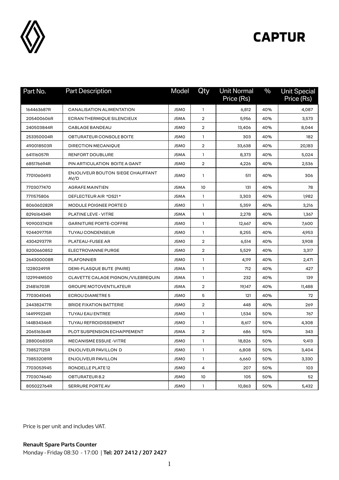

| Part No.   | <b>Part Description</b>                   | Model | Qty            | <b>Unit Normal</b><br>Price (Rs) | $\frac{0}{0}$ | <b>Unit Special</b><br>Price (Rs) |
|------------|-------------------------------------------|-------|----------------|----------------------------------|---------------|-----------------------------------|
| 164463687R | <b>CANALISATION ALIMENTATION</b>          | J5MO  | 1              | 6,812                            | 40%           | 4,087                             |
| 205400606R | ECRAN THERMIQUE SILENCIEUX                | J5MA  | $\overline{2}$ | 5,956                            | 40%           | 3,573                             |
| 240503844R | CABLAGE BANDEAU                           | J5MO  | $\overline{2}$ | 13,406                           | 40%           | 8,044                             |
| 253350004R | OBTURATEUR CONSOLE BOITE                  | J5MO  | 1              | 303                              | 40%           | 182                               |
| 490018503R | <b>DIRECTION MECANIQUE</b>                | J5MO  | $\overline{2}$ | 33,638                           | 40%           | 20,183                            |
| 641116057R | <b>RENFORT DOUBLURE</b>                   | J5MA  | 1              | 8,373                            | 40%           | 5,024                             |
| 685176694R | PIN ARTICULATION BOITE A GANT             | J5MO  | 2              | 4,226                            | 40%           | 2,536                             |
| 7701060693 | ENJOLIVEUR BOUTON SIEGE CHAUFFANT<br>AV/D | J5MO  | 1              | 511                              | 40%           | 306                               |
| 7703077470 | <b>AGRAFE MAINTIEN</b>                    | J5MA  | 10             | 131                              | 40%           | 78                                |
| 7711575806 | DEFLECTEUR AIR *DS21*                     | J5MA  | 1              | 3,303                            | 40%           | 1,982                             |
| 806060282R | MODULE POIGNEE PORTE D                    | J5MO  | 1              | 5,359                            | 40%           | 3,216                             |
| 829616434R | <b>PLATINE LEVE - VITRE</b>               | J5MA  | 1              | 2,278                            | 40%           | 1,367                             |
| 909003742R | <b>GARNITURE PORTE-COFFRE</b>             | J5MO  | 1              | 12,667                           | 40%           | 7,600                             |
| 924409775R | <b>TUYAU CONDENSEUR</b>                   | J5MO  | 1              | 8,255                            | 40%           | 4,953                             |
| 430429377R | PLATEAU-FUSEE AR                          | J5MO  | 2              | 6,514                            | 40%           | 3,908                             |
| 8200660852 | ELECTROVANNE PURGE                        | J5MO  | $\overline{2}$ | 5,529                            | 40%           | 3,317                             |
| 264300008R | <b>PLAFONNIER</b>                         | J5M0  | 1              | 4,119                            | 40%           | 2,471                             |
| 122802491R | DEMI-FLASQUE BUTE (PAIRE)                 | J5MA  | 1              | 712                              | 40%           | 427                               |
| 122994M500 | CLAVETTE CALAGE PIGNON / VILEBREQUIN      | J5MA  | 1              | 232                              | 40%           | 139                               |
| 214816703R | <b>GROUPE MOTOVENTILATEUR</b>             | J5MA  | 2              | 19,147                           | 40%           | 11,488                            |
| 7703041045 | <b>ECROU DIAMETRE 5</b>                   | J5MO  | 5              | 121                              | 40%           | 72                                |
| 244382477R | <b>BRIDE FIXATION BATTERIE</b>            | J5MO  | 2              | 448                              | 40%           | 269                               |
| 144999224R | <b>TUYAU EAU ENTREE</b>                   | J5MO  | 1              | 1,534                            | 50%           | 767                               |
| 144B34346R | <b>TUYAU REFROIDISSEMENT</b>              | J5M0  | $\mathbf{1}$   | 8,617                            | 50%           | 4,308                             |
| 206516364R | PLOT SUSPENSION ECHAPPEMENT               | J5MA  | 2              | 686                              | 50%           | 343                               |
| 288006835R | <b>MECANISME ESSUIE -VITRE</b>            | J5MO  | $\mathbf{1}$   | 18,826                           | 50%           | 9,413                             |
| 738527125R | ENJOLIVEUR PAVILLON D                     | J5MO  | 1              | 6,808                            | 50%           | 3,404                             |
| 738532089R | ENJOLIVEUR PAVILLON                       | J5MO  | 1              | 6,660                            | 50%           | 3,330                             |
| 7703053945 | RONDELLE PLATE 12                         | J5MO  | 4              | 207                              | 50%           | 103                               |
| 7703074640 | OBTURATEUR 8.2                            | J5MO  | 10             | 105                              | 50%           | 52                                |
| 805022764R | <b>SERRURE PORTE AV</b>                   | J5MO  | $\mathbf{1}$   | 10,863                           | 50%           | 5,432                             |

Price is per unit and includes VAT.

**Renault Spare Parts Counter**  Monday - Friday 08:30 - 17:00 | **Tel: 207 2412 / 207 2427**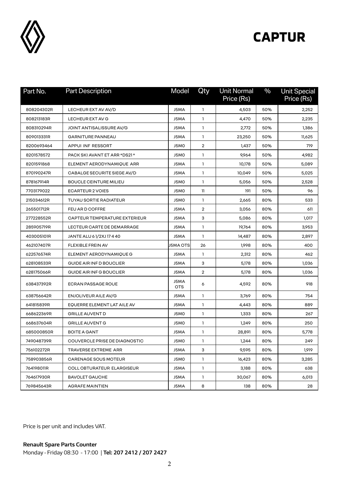

| Part No.   | <b>Part Description</b>              | Model              | Qty          | <b>Unit Normal</b><br>Price (Rs) | $\%$ | <b>Unit Special</b><br>Price (Rs) |
|------------|--------------------------------------|--------------------|--------------|----------------------------------|------|-----------------------------------|
| 808204302R | LECHEUR EXT AV AV/D                  | J5MA               | $\mathbf{1}$ | 4,503                            | 50%  | 2,252                             |
| 808213183R | LECHEUR EXT AV G                     | J5MA               | $\mathbf{1}$ | 4,470                            | 50%  | 2,235                             |
| 808310294R | JOINT ANTISALISSURE AV/G             | J5MA               | 1            | 2,772                            | 50%  | 1,386                             |
| 809013331R | <b>GARNITURE PANNEAU</b>             | J5MA               | 1            | 23,250                           | 50%  | 11,625                            |
| 8200693464 | APPUI INF RESSORT                    | J5MO               | 2            | 1,437                            | 50%  | 719                               |
| 8201578572 | PACK SKI AVANT ET ARR *DS21 *        | J5MO               | 1            | 9,964                            | 50%  | 4,982                             |
| 8201591868 | ELEMENT AERODYNAMIQUE ARR            | J5MA               | $\mathbf{1}$ | 10,178                           | 50%  | 5,089                             |
| 870190247R | CABALGE SECURITE SIEGE AV/D          | J5MA               | $\mathbf{1}$ | 10,049                           | 50%  | 5,025                             |
| 878167914R | <b>BOUCLE CEINTURE MILIEU</b>        | J5MO               | 1            | 5,056                            | 50%  | 2,528                             |
| 7703179022 | <b>ECARTEUR 2 VOIES</b>              | J5MO               | $\mathbf{1}$ | 191                              | 50%  | 96                                |
| 215034612R | <b>TUYAU SORTIE RADIATEUR</b>        | J5MO               | 1            | 2,665                            | 80%  | 533                               |
| 265501712R | FEU AR D COFFRE                      | J5MA               | 2            | 3,056                            | 80%  | 611                               |
| 277228552R | <b>CAPTEUR TEMPERATURE EXTERIEUR</b> | J5MA               | 3            | 5,086                            | 80%  | 1,017                             |
| 285905719R | LECTEUR CARTE DE DEMARRAGE           | J5MA               | 1            | 19,764                           | 80%  | 3,953                             |
| 403005101R | JANTE ALU 61/2XJ17440                | J5MA               | 1            | 14,487                           | 80%  | 2,897                             |
| 462107407R | FLEXIBLE FREIN AV                    | J5MA OTS           | 26           | 1,998                            | 80%  | 400                               |
| 622576574R | ELEMENT AERODYNAMIQUE G              | J5MA               | 1            | 2,312                            | 80%  | 462                               |
| 628108533R | GUIDE AIR INF D BOUCLIER             | J5MA               | з            | 5,178                            | 80%  | 1,036                             |
| 628175066R | GUIDE AIR INF G BOUCLIER             | J5MA               | 2            | 5,178                            | 80%  | 1,036                             |
| 638437392R | <b>ECRAN PASSAGE ROUE</b>            | J5MA<br><b>OTS</b> | 6            | 4,592                            | 80%  | 918                               |
| 638756642R | ENJOLIVEUR AILE AV/G                 | J5MA               | 1            | 3,769                            | 80%  | 754                               |
| 641815839R | EQUERRE ELEMENT LAT AILE AV          | J5MA               | 1            | 4,443                            | 80%  | 889                               |
| 668622369R | <b>GRILLE AUVENT D</b>               | J5MO               | 1            | 1,333                            | 80%  | 267                               |
| 668637604R | <b>GRILLE AUVENT G</b>               | J5MO               | 1            | 1,249                            | 80%  | 250                               |
| 685000850R | <b>BOITE A GANT</b>                  | J5MA               | 1            | 28,891                           | 80%  | 5,778                             |
| 749048739R | COUVERCLE PRISE DE DIAGNOSTIC        | J5MO               | 1            | 1,244                            | 80%  | 249                               |
| 756102272R | TRAVERSE EXTREME ARR                 | J5MA               | 3            | 9,595                            | 80%  | 1,919                             |
| 758903856R | CARENAGE SOUS MOTEUR                 | J5MO               | 1            | 16,423                           | 80%  | 3,285                             |
| 764198011R | <b>COLL OBTURATEUR ELARGISEUR</b>    | J5MA               | 1            | 3,188                            | 80%  | 638                               |
| 764617930R | <b>BAVOLET GAUCHE</b>                | J5MA               | 1            | 30,067                           | 80%  | 6,013                             |
| 769845643R | AGRAFE MAINTIEN                      | J5MA               | 8            | 138                              | 80%  | 28                                |

Price is per unit and includes VAT.

**Renault Spare Parts Counter**  Monday - Friday 08:30 - 17:00 | **Tel: 207 2412 / 207 2427**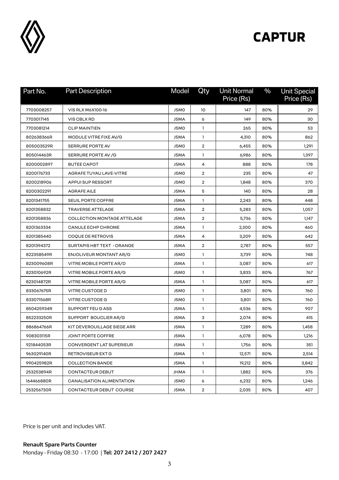

| Part No.   | <b>Part Description</b>     | Model | Qty                     | <b>Unit Normal</b><br>Price (Rs) | $\frac{0}{0}$ | <b>Unit Special</b><br>Price (Rs) |
|------------|-----------------------------|-------|-------------------------|----------------------------------|---------------|-----------------------------------|
| 7703008257 | VIS RLX M6X100-16           | J5MO  | 10                      | 147                              | 80%           | 29                                |
| 7703017145 | VIS CBLX RD                 | J5MA  | 6                       | 149                              | 80%           | 30                                |
| 7703081214 | <b>CLIP MAINTIEN</b>        | J5MO  | 1                       | 265                              | 80%           | 53                                |
| 802638366R | MODULE VITRE FIXE AV/G      | J5MA  | $\mathbf{1}$            | 4,310                            | 80%           | 862                               |
| 805003529R | <b>SERRURE PORTE AV</b>     | J5MO  | $\overline{2}$          | 6,455                            | 80%           | 1,291                             |
| 805014463R | SERRURE PORTE AV /G         | J5MA  | 1                       | 6,986                            | 80%           | 1,397                             |
| 8200002897 | <b>BUTEE CAPOT</b>          | J5MA  | 4                       | 888                              | 80%           | 178                               |
| 8200176733 | AGRAFE TUYAU LAVE-VITRE     | J5MO  | $\overline{\mathbf{c}}$ | 235                              | 80%           | 47                                |
| 8200218906 | APPUI SUP RESSORT           | J5MO  | $\overline{2}$          | 1,848                            | 80%           | 370                               |
| 8200302291 | <b>AGRAFE AILE</b>          | J5MA  | 5                       | 140                              | 80%           | 28                                |
| 8201341755 | <b>SEUIL PORTE COFFRE</b>   | J5MA  | $\mathbf{1}$            | 2,243                            | 80%           | 448                               |
| 8201358832 | <b>TRAVERSE ATTELAGE</b>    | J5MA  | $\overline{2}$          | 5,283                            | 80%           | 1,057                             |
| 8201358836 | COLLECTION MONTAGE ATTELAGE | J5MA  | $\overline{2}$          | 5,736                            | 80%           | 1,147                             |
| 8201363334 | <b>CANULE ECHP CHROME</b>   | J5MA  | 1                       | 2,300                            | 80%           | 460                               |
| 8201385440 | COQUE DE RETROVIS           | J5MA  | 4                       | 3,209                            | 80%           | 642                               |
| 8201394372 | SURTAPIS HBT TEXT - ORANGE  | J5MA  | $\overline{2}$          | 2,787                            | 80%           | 557                               |
| 822358549R | ENJOLIVEUR MONTANT AR/G     | J5MO  | 1                       | 3,739                            | 80%           | 748                               |
| 823009608R | VITRE MOBILE PORTE AR/D     | J5MA  | $\mathbf{1}$            | 3,087                            | 80%           | 617                               |
| 823010692R | VITRE MOBILE PORTE AR/G     | J5MO  | 1                       | 3,833                            | 80%           | 767                               |
| 823014872R | VITRE MOBILE PORTE AR/G     | J5MA  | $\mathbf{1}$            | 3,087                            | 80%           | 617                               |
| 833067675R | VITRE CUSTODE D             | J5MO  | 1                       | 3,801                            | 80%           | 760                               |
| 833071568R | VITRE CUSTODE G             | J5MO  | $\mathbf{1}$            | 3,801                            | 80%           | 760                               |
| 850425934R | SUPPORT FEU G ASS           | J5MA  | $\mathbf{1}$            | 4,536                            | 80%           | 907                               |
| 852233250R | SUPPORT BOUCLIER AR/G       | J5MA  | З                       | 2,074                            | 80%           | 415                               |
| 886864766R | KIT DEVEROUILLAGE SIEGE ARR | J5MA  | 1                       | 7,289                            | 80%           | 1,458                             |
| 908303115R | JOINT PORTE COFFRE          | J5MA  | 1                       | 6,078                            | 80%           | 1,216                             |
| 921844053R | CONVERGENT LAT SUPERIEUR    | J5MA  | $\mathbf{1}$            | 1,756                            | 80%           | 351                               |
| 963029140R | RETROVISEUR EXT G           | J5MA  | $\mathbf{1}$            | 12,571                           | 80%           | 2,514                             |
| 990425982R | <b>COLLECTION BANDE</b>     | J5MA  | $\mathbf{1}$            | 19,212                           | 80%           | 3,842                             |
| 253253894R | CONTACTEUR DEBUT            | JHMA  | $\mathbf{1}$            | 1,882                            | 80%           | 376                               |
| 164466880R | CANALISATION ALIMENTATION   | J5MO  | 6                       | 6,232                            | 80%           | 1,246                             |
| 253256730R | CONTACTEUR DEBUT COURSE     | J5MA  | $\overline{2}$          | 2,035                            | 80%           | 407                               |

Price is per unit and includes VAT.

**Renault Spare Parts Counter**  Monday - Friday 08:30 - 17:00 | **Tel: 207 2412 / 207 2427**